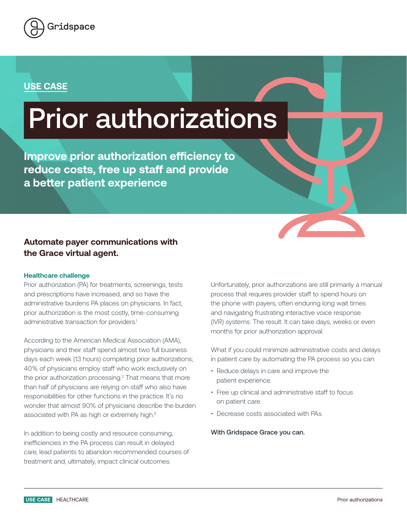

## **USE CASE**

# Prior authorizations

**Improve prior authorization efficiency to reduce costs, free up staff and provide a better patient experience**

### **Automate payer communications with the Grace virtual agent.**

#### **Healthcare challenge**

Prior authorization (PA) for treatments, screenings, tests and prescriptions have increased, and so have the administrative burdens PA places on physicians. In fact, prior authorization is the most costly, time-consuming administrative transaction for providers.<sup>1</sup>

According to the American Medical Association (AMA), physicians and their staff spend almost two full business days each week (13 hours) completing prior authorizations; 40% of physicians employ staff who work exclusively on the prior authorization processing.<sup>2</sup> That means that more than half of physicians are relying on staff who also have responsibilities for other functions in the practice. It's no wonder that almost 90% of physicians describe the burden associated with PA as high or extremely high.3

In addition to being costly and resource consuming, inefficiencies in the PA process can result in delayed care, lead patients to abandon recommended courses of treatment and, ultimately, impact clinical outcomes.

Unfortunately, prior authorizations are still primarily a manual process that requires provider staff to spend hours on the phone with payers, often enduring long wait times and navigating frustrating interactive voice response (IVR) systems. The result: It can take days, weeks or even months for prior authorization approval.

What if you could minimize administrative costs and delays in patient care by automating the PA process so you can:

- Reduce delays in care and improve the patient experience.
- Free up clinical and administrative staff to focus on patient care.
- Decrease costs associated with PAs.

#### With Gridspace Grace you can.